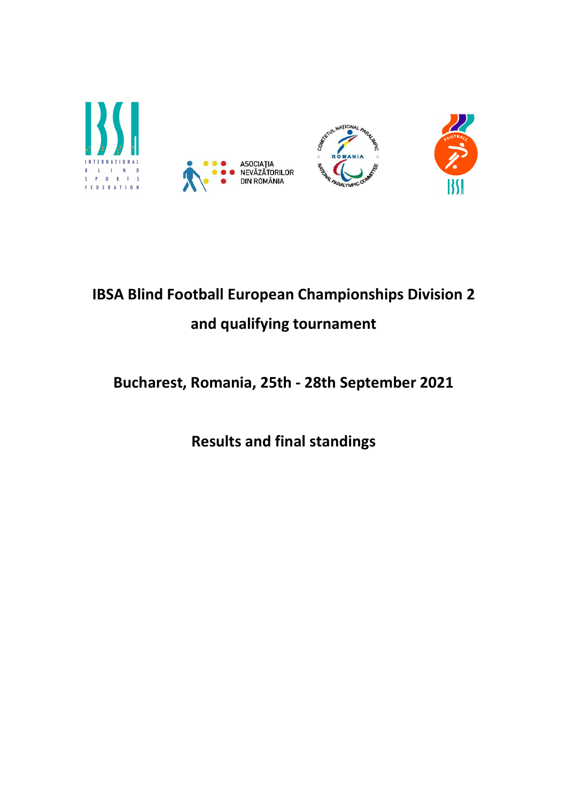

# IBSA Blind Football European Championships Division 2 and qualifying tournament

# Bucharest, Romania, 25th - 28th September 2021

Results and final standings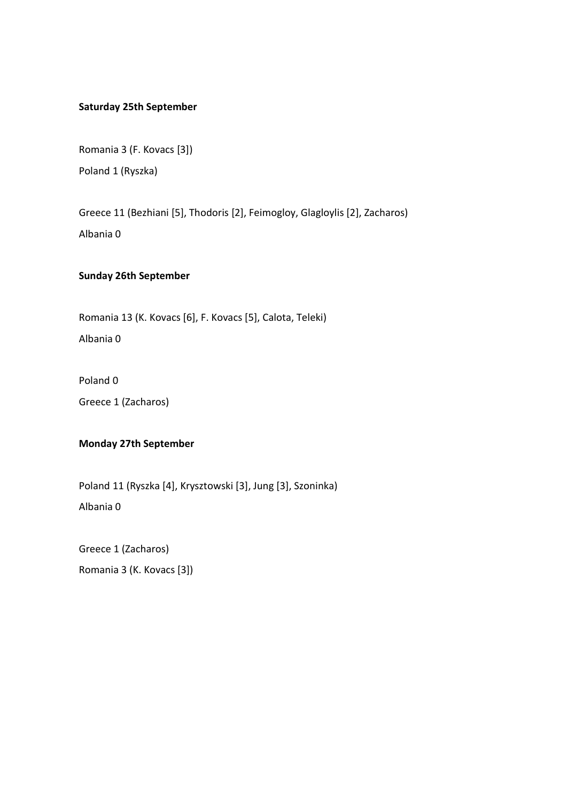#### Saturday 25th September

Romania 3 (F. Kovacs [3]) Poland 1 (Ryszka)

Greece 11 (Bezhiani [5], Thodoris [2], Feimogloy, Glagloylis [2], Zacharos) Albania 0

#### Sunday 26th September

Romania 13 (K. Kovacs [6], F. Kovacs [5], Calota, Teleki) Albania 0

Poland 0 Greece 1 (Zacharos)

# Monday 27th September

Poland 11 (Ryszka [4], Krysztowski [3], Jung [3], Szoninka)

Albania 0

Greece 1 (Zacharos) Romania 3 (K. Kovacs [3])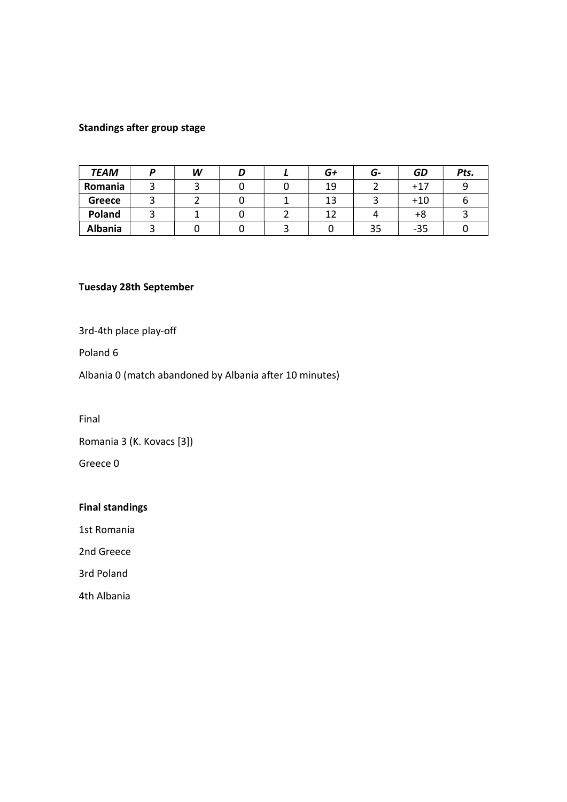### Standings after group stage

| <b>TEAM</b>    | W |  | G+ | G- | GD    | Pts. |
|----------------|---|--|----|----|-------|------|
| Romania        |   |  | 19 |    | $+17$ |      |
| <b>Greece</b>  |   |  | 13 |    | $+10$ |      |
| Poland         |   |  | 12 |    | +8    |      |
| <b>Albania</b> |   |  |    | 35 | $-35$ |      |

#### Tuesday 28th September

3rd-4th place play-off

Poland 6

Albania 0 (match abandoned by Albania after 10 minutes)

Final

Romania 3 (K. Kovacs [3])

Greece 0

## Final standings

1st Romania

2nd Greece

3rd Poland

4th Albania